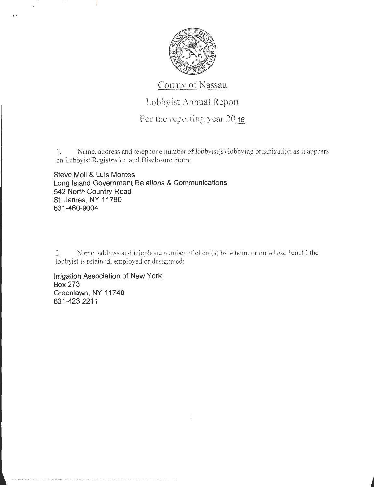

## County of Nassau

## Lobbyist Annual Report

For the reporting year 20 **18** 

I. Name, address and telephone number of lobbyist(s)/lobbying organization as it appears on Lobbyist Registration and Disclosure Fom1:

**Steve Moll & Luis Montes Long Island Government Relations & Communications 542 North Country Road St. James, NY 11780 631 -460-9004** 

2. Name, address and telephone number of client(s) by whom, or on whose behalf, the lobbyist is retained. employed or designated:

**Irrigation Association of New York Box 273 Greenlawn, NY 11740 631-423-2211**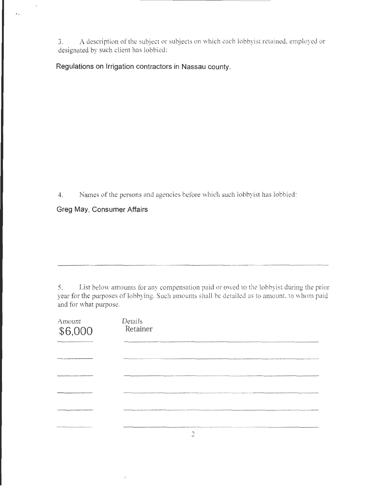3. A description of the subject or subjects on which each lobbyist retained, employed or designated by such client has lobbied:

**Regulations on Irrigation contractors in Nassau county.** 

4. Names of the persons and agencies before which such lobbyist has lobbied:

**Greg May, Consumer Affairs** 

 $\epsilon$ 

5. List below amounts for any compensation paid or owed to the lobbyist during the prior year for the purposes of lobbying. Such amounts shall be detailed as to amount, to whom paid and for what purpose.

| Amount<br>\$6,000                        | <b>Details</b><br>Retainer                                                                                                                                                                                                     |
|------------------------------------------|--------------------------------------------------------------------------------------------------------------------------------------------------------------------------------------------------------------------------------|
|                                          |                                                                                                                                                                                                                                |
|                                          | <b>Constitution Constitute Stations</b>                                                                                                                                                                                        |
| <b>MAIN SEASANT 12 YEAR VAN SEND AND</b> |                                                                                                                                                                                                                                |
|                                          |                                                                                                                                                                                                                                |
| <b>JAMAALAMAA NI WAARAA</b>              | AN MENTHODOGRAPH THE SERVE AND LODGED AT LCCC.                                                                                                                                                                                 |
| ***********************************      | AND APARATEMENT BALLET TAKE AND THE EXTREME TO A COURT COURT OF THE COUNTY CONTRACT OF THE CONTRACT OF THE CONTRACT OF THE CONTRACT OF THE COUNTY OF THE CONTRACT OF THE CONTRACT OF THE CONTRACT OF THE CONTRACT OF THE CONTR |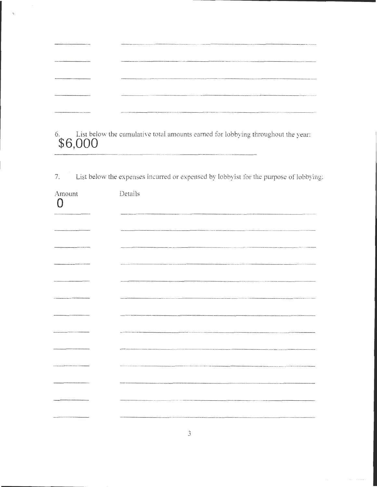| villa dalla fisicalità finelle popostorio con con con company il trastitati di la chiesa statti e seconda |  |
|-----------------------------------------------------------------------------------------------------------|--|
| VIOLENCE PARAMETERS AND ALL AN ANARASSAS ASSASSASSASSAS                                                   |  |
| An detection on the head and development was approximately applied to a business and a set of the con-    |  |
| INTERNATIONAL PROPERTY AND CONTRACTORS AND A RESIDENT AND DESCRIPTION                                     |  |

6. List below the cumulative total amounts earned for lobbying throughout the year: **\$6,000** 

7. List below the expenses incurred or expensed by lobbyist for the purpose of lobbying:

| Amount<br>$\cap$                                                              | Details                                                                                                             |
|-------------------------------------------------------------------------------|---------------------------------------------------------------------------------------------------------------------|
|                                                                               |                                                                                                                     |
|                                                                               |                                                                                                                     |
| .<br>National and a second function of the set of the control of the function | .<br>2010 - CANNA CHA ABRITE                                                                                        |
|                                                                               |                                                                                                                     |
|                                                                               |                                                                                                                     |
|                                                                               | .<br>Prince administrativa in contra con la final de la final de la contra de la final de la final de la final de l |
|                                                                               |                                                                                                                     |
|                                                                               | .<br>And head of their concerns in concerns to the first the concerns in properties.                                |
|                                                                               | .<br>Wakhalimaanna 1998 1999 ta'u ta'u maa 2000ko wuxuu waa waa waxaa waxay waxay waxay waxay waxay waxay waa aadan |
| <b>The contract of the color of the color</b>                                 | .<br>Namen van de stad is 'n groeie is de beste in de beste in de beste in 'n meer in de stad in 'n de stad in de s |
|                                                                               |                                                                                                                     |
|                                                                               |                                                                                                                     |
|                                                                               |                                                                                                                     |